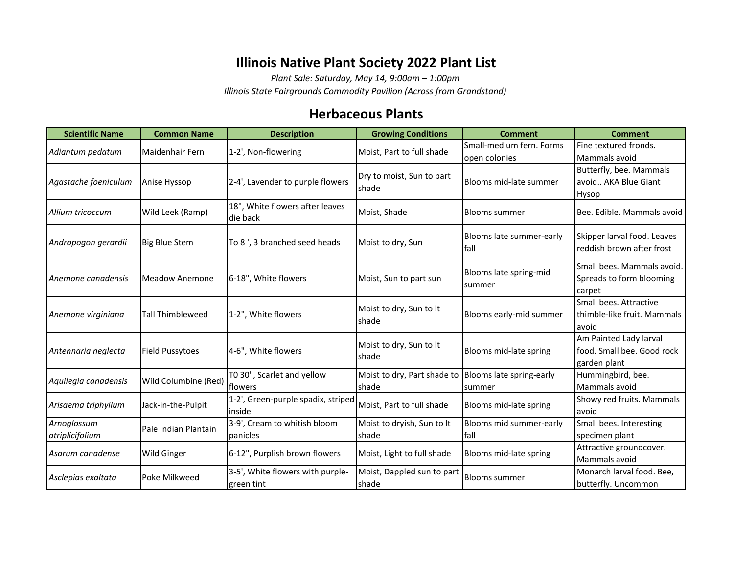## **Illinois Native Plant Society 2022 Plant List**

*Plant Sale: Saturday, May 14, 9:00am – 1:00pm*

*Illinois State Fairgrounds Commodity Pavilion (Across from Grandstand)*

## **Herbaceous Plants**

| Small-medium fern. Forms<br>Fine textured fronds.<br>Adiantum pedatum<br>1-2', Non-flowering<br>Moist, Part to full shade<br>Maidenhair Fern<br>Mammals avoid<br>open colonies<br>Butterfly, bee. Mammals<br>Dry to moist, Sun to part<br>Blooms mid-late summer<br>avoid AKA Blue Giant<br>2-4', Lavender to purple flowers<br>Anise Hyssop<br>shade<br>Hysop<br>18", White flowers after leaves<br>Wild Leek (Ramp)<br>Moist, Shade<br>Bee. Edible. Mammals avoid<br>Allium tricoccum<br><b>Blooms summer</b><br>die back<br>Skipper larval food. Leaves<br>Blooms late summer-early<br>To 8', 3 branched seed heads<br><b>Big Blue Stem</b><br>Moist to dry, Sun<br>Andropogon gerardii<br>reddish brown after frost<br>fall<br>Small bees. Mammals avoid.<br>Blooms late spring-mid<br>6-18", White flowers<br>Moist, Sun to part sun<br>Spreads to form blooming<br>Anemone canadensis<br>Meadow Anemone<br>summer<br>carpet<br>Small bees. Attractive<br>Moist to dry, Sun to It<br>thimble-like fruit. Mammals<br><b>Tall Thimbleweed</b><br>1-2", White flowers<br>Blooms early-mid summer<br>Anemone virginiana<br>shade<br>avoid<br>Am Painted Lady larval<br>Moist to dry, Sun to It<br>4-6", White flowers<br>Blooms mid-late spring<br>food. Small bee. Good rock<br>Antennaria neglecta<br><b>Field Pussytoes</b><br>shade<br>garden plant<br>T0 30", Scarlet and yellow<br>Moist to dry, Part shade to<br>Blooms late spring-early<br>Hummingbird, bee.<br>Wild Columbine (Red)<br>Mammals avoid<br>flowers<br>shade<br>summer<br>1-2', Green-purple spadix, striped<br>Showy red fruits. Mammals<br>Jack-in-the-Pulpit<br>Moist, Part to full shade<br>Blooms mid-late spring<br>inside<br>avoid<br>3-9', Cream to whitish bloom<br>Moist to dryish, Sun to It<br>Blooms mid summer-early<br>Small bees. Interesting<br>Arnoglossum<br>Pale Indian Plantain<br>fall<br>specimen plant<br>atriplicifolium<br>shade<br>panicles<br>Attractive groundcover.<br>6-12", Purplish brown flowers<br><b>Wild Ginger</b><br>Moist, Light to full shade<br>Blooms mid-late spring<br>Mammals avoid<br>3-5', White flowers with purple-<br>Moist, Dappled sun to part<br>Monarch larval food. Bee.<br>Poke Milkweed<br><b>Blooms summer</b> | <b>Scientific Name</b> | <b>Common Name</b> | <b>Description</b> | <b>Growing Conditions</b> | <b>Comment</b> | <b>Comment</b>      |
|--------------------------------------------------------------------------------------------------------------------------------------------------------------------------------------------------------------------------------------------------------------------------------------------------------------------------------------------------------------------------------------------------------------------------------------------------------------------------------------------------------------------------------------------------------------------------------------------------------------------------------------------------------------------------------------------------------------------------------------------------------------------------------------------------------------------------------------------------------------------------------------------------------------------------------------------------------------------------------------------------------------------------------------------------------------------------------------------------------------------------------------------------------------------------------------------------------------------------------------------------------------------------------------------------------------------------------------------------------------------------------------------------------------------------------------------------------------------------------------------------------------------------------------------------------------------------------------------------------------------------------------------------------------------------------------------------------------------------------------------------------------------------------------------------------------------------------------------------------------------------------------------------------------------------------------------------------------------------------------------------------------------------------------------------------------------------------------------------------------------------------------------------------------------------------------------------------------------------------------------------|------------------------|--------------------|--------------------|---------------------------|----------------|---------------------|
|                                                                                                                                                                                                                                                                                                                                                                                                                                                                                                                                                                                                                                                                                                                                                                                                                                                                                                                                                                                                                                                                                                                                                                                                                                                                                                                                                                                                                                                                                                                                                                                                                                                                                                                                                                                                                                                                                                                                                                                                                                                                                                                                                                                                                                                  |                        |                    |                    |                           |                |                     |
|                                                                                                                                                                                                                                                                                                                                                                                                                                                                                                                                                                                                                                                                                                                                                                                                                                                                                                                                                                                                                                                                                                                                                                                                                                                                                                                                                                                                                                                                                                                                                                                                                                                                                                                                                                                                                                                                                                                                                                                                                                                                                                                                                                                                                                                  |                        |                    |                    |                           |                |                     |
|                                                                                                                                                                                                                                                                                                                                                                                                                                                                                                                                                                                                                                                                                                                                                                                                                                                                                                                                                                                                                                                                                                                                                                                                                                                                                                                                                                                                                                                                                                                                                                                                                                                                                                                                                                                                                                                                                                                                                                                                                                                                                                                                                                                                                                                  |                        |                    |                    |                           |                |                     |
|                                                                                                                                                                                                                                                                                                                                                                                                                                                                                                                                                                                                                                                                                                                                                                                                                                                                                                                                                                                                                                                                                                                                                                                                                                                                                                                                                                                                                                                                                                                                                                                                                                                                                                                                                                                                                                                                                                                                                                                                                                                                                                                                                                                                                                                  | Agastache foeniculum   |                    |                    |                           |                |                     |
|                                                                                                                                                                                                                                                                                                                                                                                                                                                                                                                                                                                                                                                                                                                                                                                                                                                                                                                                                                                                                                                                                                                                                                                                                                                                                                                                                                                                                                                                                                                                                                                                                                                                                                                                                                                                                                                                                                                                                                                                                                                                                                                                                                                                                                                  |                        |                    |                    |                           |                |                     |
|                                                                                                                                                                                                                                                                                                                                                                                                                                                                                                                                                                                                                                                                                                                                                                                                                                                                                                                                                                                                                                                                                                                                                                                                                                                                                                                                                                                                                                                                                                                                                                                                                                                                                                                                                                                                                                                                                                                                                                                                                                                                                                                                                                                                                                                  |                        |                    |                    |                           |                |                     |
|                                                                                                                                                                                                                                                                                                                                                                                                                                                                                                                                                                                                                                                                                                                                                                                                                                                                                                                                                                                                                                                                                                                                                                                                                                                                                                                                                                                                                                                                                                                                                                                                                                                                                                                                                                                                                                                                                                                                                                                                                                                                                                                                                                                                                                                  |                        |                    |                    |                           |                |                     |
|                                                                                                                                                                                                                                                                                                                                                                                                                                                                                                                                                                                                                                                                                                                                                                                                                                                                                                                                                                                                                                                                                                                                                                                                                                                                                                                                                                                                                                                                                                                                                                                                                                                                                                                                                                                                                                                                                                                                                                                                                                                                                                                                                                                                                                                  |                        |                    |                    |                           |                |                     |
|                                                                                                                                                                                                                                                                                                                                                                                                                                                                                                                                                                                                                                                                                                                                                                                                                                                                                                                                                                                                                                                                                                                                                                                                                                                                                                                                                                                                                                                                                                                                                                                                                                                                                                                                                                                                                                                                                                                                                                                                                                                                                                                                                                                                                                                  |                        |                    |                    |                           |                |                     |
|                                                                                                                                                                                                                                                                                                                                                                                                                                                                                                                                                                                                                                                                                                                                                                                                                                                                                                                                                                                                                                                                                                                                                                                                                                                                                                                                                                                                                                                                                                                                                                                                                                                                                                                                                                                                                                                                                                                                                                                                                                                                                                                                                                                                                                                  |                        |                    |                    |                           |                |                     |
|                                                                                                                                                                                                                                                                                                                                                                                                                                                                                                                                                                                                                                                                                                                                                                                                                                                                                                                                                                                                                                                                                                                                                                                                                                                                                                                                                                                                                                                                                                                                                                                                                                                                                                                                                                                                                                                                                                                                                                                                                                                                                                                                                                                                                                                  |                        |                    |                    |                           |                |                     |
|                                                                                                                                                                                                                                                                                                                                                                                                                                                                                                                                                                                                                                                                                                                                                                                                                                                                                                                                                                                                                                                                                                                                                                                                                                                                                                                                                                                                                                                                                                                                                                                                                                                                                                                                                                                                                                                                                                                                                                                                                                                                                                                                                                                                                                                  |                        |                    |                    |                           |                |                     |
|                                                                                                                                                                                                                                                                                                                                                                                                                                                                                                                                                                                                                                                                                                                                                                                                                                                                                                                                                                                                                                                                                                                                                                                                                                                                                                                                                                                                                                                                                                                                                                                                                                                                                                                                                                                                                                                                                                                                                                                                                                                                                                                                                                                                                                                  |                        |                    |                    |                           |                |                     |
|                                                                                                                                                                                                                                                                                                                                                                                                                                                                                                                                                                                                                                                                                                                                                                                                                                                                                                                                                                                                                                                                                                                                                                                                                                                                                                                                                                                                                                                                                                                                                                                                                                                                                                                                                                                                                                                                                                                                                                                                                                                                                                                                                                                                                                                  |                        |                    |                    |                           |                |                     |
|                                                                                                                                                                                                                                                                                                                                                                                                                                                                                                                                                                                                                                                                                                                                                                                                                                                                                                                                                                                                                                                                                                                                                                                                                                                                                                                                                                                                                                                                                                                                                                                                                                                                                                                                                                                                                                                                                                                                                                                                                                                                                                                                                                                                                                                  |                        |                    |                    |                           |                |                     |
|                                                                                                                                                                                                                                                                                                                                                                                                                                                                                                                                                                                                                                                                                                                                                                                                                                                                                                                                                                                                                                                                                                                                                                                                                                                                                                                                                                                                                                                                                                                                                                                                                                                                                                                                                                                                                                                                                                                                                                                                                                                                                                                                                                                                                                                  |                        |                    |                    |                           |                |                     |
|                                                                                                                                                                                                                                                                                                                                                                                                                                                                                                                                                                                                                                                                                                                                                                                                                                                                                                                                                                                                                                                                                                                                                                                                                                                                                                                                                                                                                                                                                                                                                                                                                                                                                                                                                                                                                                                                                                                                                                                                                                                                                                                                                                                                                                                  |                        |                    |                    |                           |                |                     |
|                                                                                                                                                                                                                                                                                                                                                                                                                                                                                                                                                                                                                                                                                                                                                                                                                                                                                                                                                                                                                                                                                                                                                                                                                                                                                                                                                                                                                                                                                                                                                                                                                                                                                                                                                                                                                                                                                                                                                                                                                                                                                                                                                                                                                                                  |                        |                    |                    |                           |                |                     |
|                                                                                                                                                                                                                                                                                                                                                                                                                                                                                                                                                                                                                                                                                                                                                                                                                                                                                                                                                                                                                                                                                                                                                                                                                                                                                                                                                                                                                                                                                                                                                                                                                                                                                                                                                                                                                                                                                                                                                                                                                                                                                                                                                                                                                                                  |                        |                    |                    |                           |                |                     |
|                                                                                                                                                                                                                                                                                                                                                                                                                                                                                                                                                                                                                                                                                                                                                                                                                                                                                                                                                                                                                                                                                                                                                                                                                                                                                                                                                                                                                                                                                                                                                                                                                                                                                                                                                                                                                                                                                                                                                                                                                                                                                                                                                                                                                                                  | Aquilegia canadensis   |                    |                    |                           |                |                     |
|                                                                                                                                                                                                                                                                                                                                                                                                                                                                                                                                                                                                                                                                                                                                                                                                                                                                                                                                                                                                                                                                                                                                                                                                                                                                                                                                                                                                                                                                                                                                                                                                                                                                                                                                                                                                                                                                                                                                                                                                                                                                                                                                                                                                                                                  |                        |                    |                    |                           |                |                     |
|                                                                                                                                                                                                                                                                                                                                                                                                                                                                                                                                                                                                                                                                                                                                                                                                                                                                                                                                                                                                                                                                                                                                                                                                                                                                                                                                                                                                                                                                                                                                                                                                                                                                                                                                                                                                                                                                                                                                                                                                                                                                                                                                                                                                                                                  | Arisaema triphyllum    |                    |                    |                           |                |                     |
|                                                                                                                                                                                                                                                                                                                                                                                                                                                                                                                                                                                                                                                                                                                                                                                                                                                                                                                                                                                                                                                                                                                                                                                                                                                                                                                                                                                                                                                                                                                                                                                                                                                                                                                                                                                                                                                                                                                                                                                                                                                                                                                                                                                                                                                  |                        |                    |                    |                           |                |                     |
|                                                                                                                                                                                                                                                                                                                                                                                                                                                                                                                                                                                                                                                                                                                                                                                                                                                                                                                                                                                                                                                                                                                                                                                                                                                                                                                                                                                                                                                                                                                                                                                                                                                                                                                                                                                                                                                                                                                                                                                                                                                                                                                                                                                                                                                  |                        |                    |                    |                           |                |                     |
|                                                                                                                                                                                                                                                                                                                                                                                                                                                                                                                                                                                                                                                                                                                                                                                                                                                                                                                                                                                                                                                                                                                                                                                                                                                                                                                                                                                                                                                                                                                                                                                                                                                                                                                                                                                                                                                                                                                                                                                                                                                                                                                                                                                                                                                  |                        |                    |                    |                           |                |                     |
|                                                                                                                                                                                                                                                                                                                                                                                                                                                                                                                                                                                                                                                                                                                                                                                                                                                                                                                                                                                                                                                                                                                                                                                                                                                                                                                                                                                                                                                                                                                                                                                                                                                                                                                                                                                                                                                                                                                                                                                                                                                                                                                                                                                                                                                  | Asarum canadense       |                    |                    |                           |                |                     |
|                                                                                                                                                                                                                                                                                                                                                                                                                                                                                                                                                                                                                                                                                                                                                                                                                                                                                                                                                                                                                                                                                                                                                                                                                                                                                                                                                                                                                                                                                                                                                                                                                                                                                                                                                                                                                                                                                                                                                                                                                                                                                                                                                                                                                                                  |                        |                    |                    |                           |                |                     |
|                                                                                                                                                                                                                                                                                                                                                                                                                                                                                                                                                                                                                                                                                                                                                                                                                                                                                                                                                                                                                                                                                                                                                                                                                                                                                                                                                                                                                                                                                                                                                                                                                                                                                                                                                                                                                                                                                                                                                                                                                                                                                                                                                                                                                                                  | Asclepias exaltata     |                    | green tint         | shade                     |                | butterfly. Uncommon |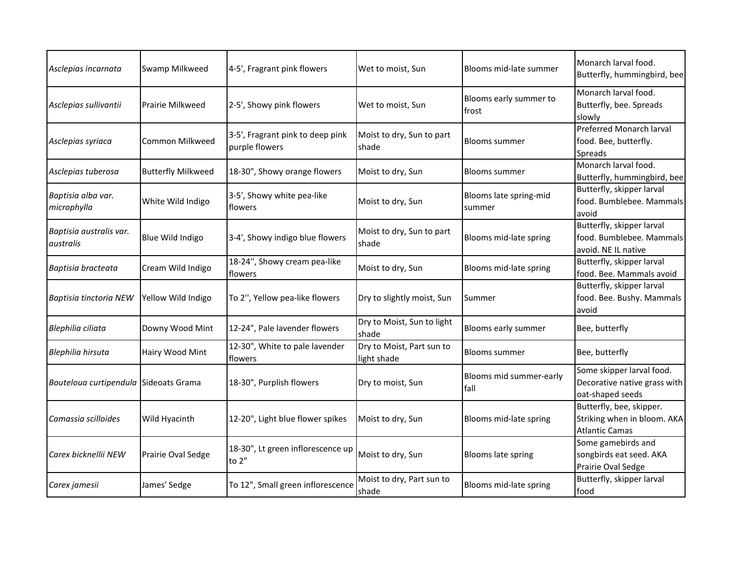| Asclepias incarnata                   | Swamp Milkweed            | 4-5', Fragrant pink flowers                        | Wet to moist, Sun                        | Blooms mid-late summer           | Monarch larval food.<br>Butterfly, hummingbird, bee                              |
|---------------------------------------|---------------------------|----------------------------------------------------|------------------------------------------|----------------------------------|----------------------------------------------------------------------------------|
| Asclepias sullivantii                 | Prairie Milkweed          | 2-5', Showy pink flowers                           | Wet to moist, Sun                        | Blooms early summer to<br>frost  | Monarch larval food.<br>Butterfly, bee. Spreads<br>slowly                        |
| Asclepias syriaca                     | Common Milkweed           | 3-5', Fragrant pink to deep pink<br>purple flowers | Moist to dry, Sun to part<br>shade       | <b>Blooms summer</b>             | <b>Preferred Monarch larval</b><br>food. Bee, butterfly.<br>Spreads              |
| Asclepias tuberosa                    | <b>Butterfly Milkweed</b> | 18-30", Showy orange flowers                       | Moist to dry, Sun                        | <b>Blooms summer</b>             | Monarch larval food.<br>Butterfly, hummingbird, bee                              |
| Baptisia alba var.<br>microphylla     | White Wild Indigo         | 3-5', Showy white pea-like<br>flowers              | Moist to dry, Sun                        | Blooms late spring-mid<br>summer | Butterfly, skipper larval<br>food. Bumblebee. Mammals<br>avoid                   |
| Baptisia australis var.<br>australis  | Blue Wild Indigo          | 3-4', Showy indigo blue flowers                    | Moist to dry, Sun to part<br>shade       | Blooms mid-late spring           | Butterfly, skipper larval<br>food. Bumblebee. Mammals<br>avoid. NE IL native     |
| Baptisia bracteata                    | Cream Wild Indigo         | 18-24", Showy cream pea-like<br>flowers            | Moist to dry, Sun                        | Blooms mid-late spring           | Butterfly, skipper larval<br>food. Bee. Mammals avoid                            |
| Baptisia tinctoria NEW                | Yellow Wild Indigo        | To 2", Yellow pea-like flowers                     | Dry to slightly moist, Sun               | Summer                           | Butterfly, skipper larval<br>food. Bee. Bushy. Mammals<br>avoid                  |
| Blephilia ciliata                     | Downy Wood Mint           | 12-24", Pale lavender flowers                      | Dry to Moist, Sun to light<br>shade      | Blooms early summer              | Bee, butterfly                                                                   |
| Blephilia hirsuta                     | Hairy Wood Mint           | 12-30", White to pale lavender<br>flowers          | Dry to Moist, Part sun to<br>light shade | <b>Blooms summer</b>             | Bee, butterfly                                                                   |
| Bouteloua curtipendula Sideoats Grama |                           | 18-30", Purplish flowers                           | Dry to moist, Sun                        | Blooms mid summer-early<br>fall  | Some skipper larval food.<br>Decorative native grass with<br>oat-shaped seeds    |
| Camassia scilloides                   | Wild Hyacinth             | 12-20", Light blue flower spikes                   | Moist to dry, Sun                        | Blooms mid-late spring           | Butterfly, bee, skipper.<br>Striking when in bloom. AKA<br><b>Atlantic Camas</b> |
| Carex bicknellii NEW                  | Prairie Oval Sedge        | 18-30", Lt green inflorescence up<br>to 2"         | Moist to dry, Sun                        | Blooms late spring               | Some gamebirds and<br>songbirds eat seed. AKA<br>Prairie Oval Sedge              |
| Carex jamesii                         | James' Sedge              | To 12", Small green inflorescence                  | Moist to dry, Part sun to<br>shade       | Blooms mid-late spring           | Butterfly, skipper larval<br>food                                                |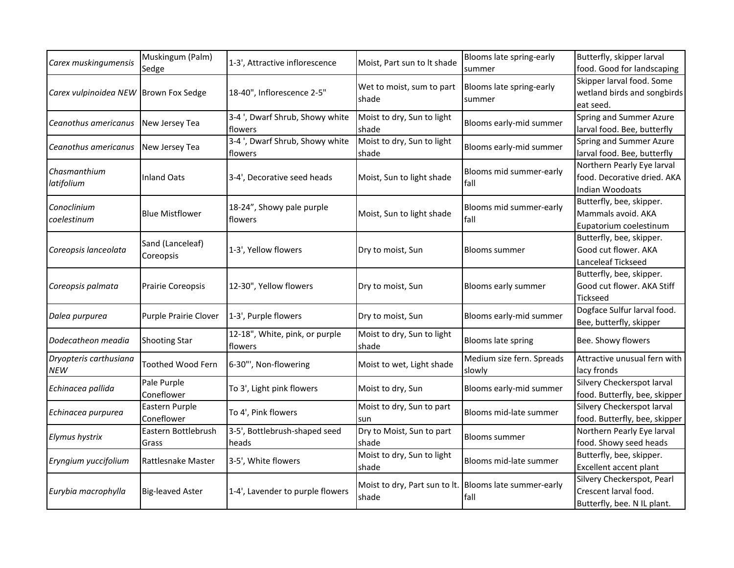| Carex muskingumensis   | Muskingum (Palm)         | 1-3', Attractive inflorescence   | Moist, Part sun to It shade | Blooms late spring-early                                       | Butterfly, skipper larval     |
|------------------------|--------------------------|----------------------------------|-----------------------------|----------------------------------------------------------------|-------------------------------|
|                        | Sedge                    |                                  |                             | summer                                                         | food. Good for landscaping    |
|                        |                          |                                  | Wet to moist, sum to part   | Blooms late spring-early                                       | Skipper larval food. Some     |
| Carex vulpinoidea NEW  | <b>Brown Fox Sedge</b>   | 18-40", Inflorescence 2-5"       | shade                       | summer                                                         | wetland birds and songbirds   |
|                        |                          |                                  |                             |                                                                | eat seed.                     |
| Ceanothus americanus   | New Jersey Tea           | 3-4 ', Dwarf Shrub, Showy white  | Moist to dry, Sun to light  | Blooms early-mid summer                                        | Spring and Summer Azure       |
|                        |                          | flowers                          | shade                       |                                                                | larval food. Bee, butterfly   |
| Ceanothus americanus   | New Jersey Tea           | 3-4 ', Dwarf Shrub, Showy white  | Moist to dry, Sun to light  | Blooms early-mid summer                                        | Spring and Summer Azure       |
|                        |                          | flowers                          | shade                       |                                                                | larval food. Bee, butterfly   |
| Chasmanthium           |                          |                                  |                             | Blooms mid summer-early                                        | Northern Pearly Eye larval    |
| latifolium             | <b>Inland Oats</b>       | 3-4', Decorative seed heads      | Moist, Sun to light shade   | fall                                                           | food. Decorative dried. AKA   |
|                        |                          |                                  |                             |                                                                | <b>Indian Woodoats</b>        |
| Conoclinium            |                          | 18-24", Showy pale purple        |                             | Blooms mid summer-early                                        | Butterfly, bee, skipper.      |
| coelestinum            | <b>Blue Mistflower</b>   | flowers                          | Moist, Sun to light shade   | fall                                                           | Mammals avoid. AKA            |
|                        |                          |                                  |                             |                                                                | Eupatorium coelestinum        |
|                        | Sand (Lanceleaf)         |                                  |                             |                                                                | Butterfly, bee, skipper.      |
| Coreopsis lanceolata   | Coreopsis                | 1-3', Yellow flowers             | Dry to moist, Sun           | <b>Blooms summer</b>                                           | Good cut flower. AKA          |
|                        |                          |                                  |                             |                                                                | Lanceleaf Tickseed            |
|                        |                          |                                  |                             |                                                                | Butterfly, bee, skipper.      |
| Coreopsis palmata      | <b>Prairie Coreopsis</b> | 12-30", Yellow flowers           | Dry to moist, Sun           | Blooms early summer                                            | Good cut flower. AKA Stiff    |
|                        |                          |                                  |                             |                                                                | Tickseed                      |
|                        |                          |                                  |                             |                                                                | Dogface Sulfur larval food.   |
| Dalea purpurea         | Purple Prairie Clover    | 1-3', Purple flowers             | Dry to moist, Sun           | Blooms early-mid summer                                        | Bee, butterfly, skipper       |
|                        |                          | 12-18", White, pink, or purple   | Moist to dry, Sun to light  |                                                                | Bee. Showy flowers            |
| Dodecatheon meadia     | <b>Shooting Star</b>     | flowers                          | shade                       | Blooms late spring                                             |                               |
| Dryopteris carthusiana |                          |                                  |                             | Medium size fern. Spreads                                      | Attractive unusual fern with  |
| <b>NEW</b>             | <b>Toothed Wood Fern</b> | 6-30"', Non-flowering            | Moist to wet, Light shade   | slowly                                                         | lacy fronds                   |
|                        | Pale Purple              |                                  |                             |                                                                | Silvery Checkerspot larval    |
| Echinacea pallida      | Coneflower               | To 3', Light pink flowers        | Moist to dry, Sun           | Blooms early-mid summer                                        | food. Butterfly, bee, skipper |
|                        | Eastern Purple           | To 4', Pink flowers              | Moist to dry, Sun to part   | Blooms mid-late summer                                         | Silvery Checkerspot larval    |
| Echinacea purpurea     | Coneflower               |                                  | sun                         |                                                                | food. Butterfly, bee, skipper |
|                        | Eastern Bottlebrush      | 3-5', Bottlebrush-shaped seed    | Dry to Moist, Sun to part   |                                                                | Northern Pearly Eye larval    |
| Elymus hystrix         | Grass                    | heads                            | shade                       | <b>Blooms summer</b>                                           | food. Showy seed heads        |
|                        |                          |                                  | Moist to dry, Sun to light  |                                                                | Butterfly, bee, skipper.      |
| Eryngium yuccifolium   | Rattlesnake Master       | 3-5', White flowers              | shade                       | Blooms mid-late summer                                         | Excellent accent plant        |
|                        |                          |                                  |                             |                                                                | Silvery Checkerspot, Pearl    |
| Eurybia macrophylla    | <b>Big-leaved Aster</b>  | 1-4', Lavender to purple flowers | shade                       | Moist to dry, Part sun to lt. Blooms late summer-early<br>fall | Crescent larval food.         |
|                        |                          |                                  |                             |                                                                | Butterfly, bee. N IL plant.   |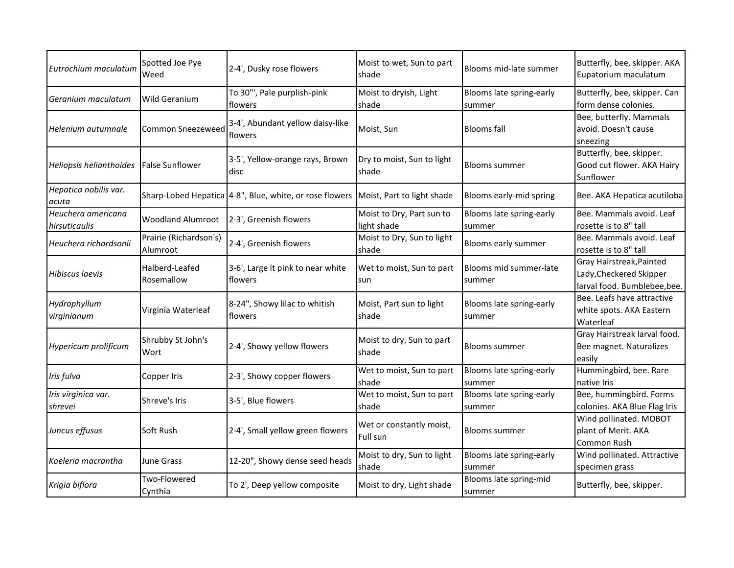| Eutrochium maculatum                | Spotted Joe Pye<br>Weed            | 2-4', Dusky rose flowers                                                           | Moist to wet, Sun to part<br>shade       | Blooms mid-late summer             | Butterfly, bee, skipper. AKA<br>Eupatorium maculatum                                |
|-------------------------------------|------------------------------------|------------------------------------------------------------------------------------|------------------------------------------|------------------------------------|-------------------------------------------------------------------------------------|
| Geranium maculatum                  | <b>Wild Geranium</b>               | To 30"', Pale purplish-pink<br>flowers                                             | Moist to dryish, Light<br>shade          | Blooms late spring-early<br>summer | Butterfly, bee, skipper. Can<br>form dense colonies.                                |
| Helenium autumnale                  | <b>Common Sneezeweed</b>           | 3-4', Abundant yellow daisy-like<br>flowers                                        | Moist, Sun                               | <b>Blooms</b> fall                 | Bee, butterfly. Mammals<br>avoid. Doesn't cause<br>sneezing                         |
| Heliopsis helianthoides             | <b>False Sunflower</b>             | 3-5', Yellow-orange rays, Brown<br>disc                                            | Dry to moist, Sun to light<br>shade      | <b>Blooms summer</b>               | Butterfly, bee, skipper.<br>Good cut flower. AKA Hairy<br>Sunflower                 |
| Hepatica nobilis var.<br>acuta      |                                    | Sharp-Lobed Hepatica 4-8", Blue, white, or rose flowers Moist, Part to light shade |                                          | Blooms early-mid spring            | Bee. AKA Hepatica acutiloba                                                         |
| Heuchera americana<br>hirsuticaulis | <b>Woodland Alumroot</b>           | 2-3', Greenish flowers                                                             | Moist to Dry, Part sun to<br>light shade | Blooms late spring-early<br>summer | Bee. Mammals avoid. Leaf<br>rosette is to 8" tall                                   |
| Heuchera richardsonii               | Prairie (Richardson's)<br>Alumroot | 2-4', Greenish flowers                                                             | Moist to Dry, Sun to light<br>shade      | Blooms early summer                | Bee. Mammals avoid. Leaf<br>rosette is to 8" tall                                   |
| Hibiscus laevis                     | Halberd-Leafed<br>Rosemallow       | 3-6', Large It pink to near white<br>flowers                                       | Wet to moist, Sun to part<br>sun         | Blooms mid summer-late<br>summer   | Gray Hairstreak, Painted<br>Lady, Checkered Skipper<br>larval food. Bumblebee, bee. |
| Hydrophyllum<br>virginianum         | Virginia Waterleaf                 | 8-24", Showy lilac to whitish<br>flowers                                           | Moist, Part sun to light<br>shade        | Blooms late spring-early<br>summer | Bee. Leafs have attractive<br>white spots. AKA Eastern<br>Waterleaf                 |
| Hypericum prolificum                | Shrubby St John's<br>Wort          | 2-4', Showy yellow flowers                                                         | Moist to dry, Sun to part<br>shade       | Blooms summer                      | Gray Hairstreak larval food.<br>Bee magnet. Naturalizes<br>easily                   |
| Iris fulva                          | Copper Iris                        | 2-3', Showy copper flowers                                                         | Wet to moist, Sun to part<br>shade       | Blooms late spring-early<br>summer | Hummingbird, bee. Rare<br>native Iris                                               |
| Iris virginica var.<br>shrevei      | Shreve's Iris                      | 3-5', Blue flowers                                                                 | Wet to moist, Sun to part<br>shade       | Blooms late spring-early<br>summer | Bee, hummingbird. Forms<br>colonies. AKA Blue Flag Iris                             |
| Juncus effusus                      | <b>Soft Rush</b>                   | 2-4', Small yellow green flowers                                                   | Wet or constantly moist,<br>Full sun     | <b>Blooms summer</b>               | Wind pollinated. MOBOT<br>plant of Merit. AKA<br>Common Rush                        |
| Koeleria macrantha                  | <b>June Grass</b>                  | 12-20", Showy dense seed heads                                                     | Moist to dry, Sun to light<br>shade      | Blooms late spring-early<br>summer | Wind pollinated. Attractive<br>specimen grass                                       |
| Krigia biflora                      | Two-Flowered<br>Cynthia            | To 2', Deep yellow composite                                                       | Moist to dry, Light shade                | Blooms late spring-mid<br>summer   | Butterfly, bee, skipper.                                                            |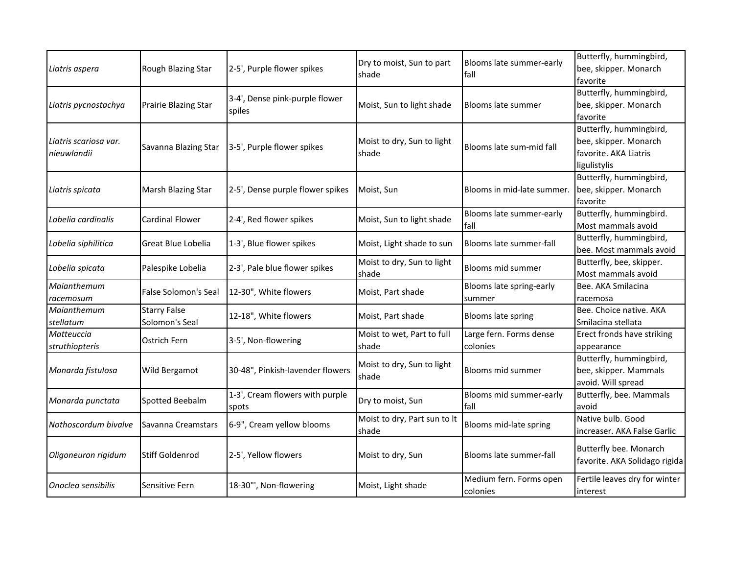| Liatris aspera                       | Rough Blazing Star                    | 2-5', Purple flower spikes               | Dry to moist, Sun to part             | Blooms late summer-early            | Butterfly, hummingbird,<br>bee, skipper. Monarch                                          |
|--------------------------------------|---------------------------------------|------------------------------------------|---------------------------------------|-------------------------------------|-------------------------------------------------------------------------------------------|
|                                      |                                       |                                          | shade                                 | fall                                | favorite                                                                                  |
| Liatris pycnostachya                 | Prairie Blazing Star                  | 3-4', Dense pink-purple flower<br>spiles | Moist, Sun to light shade             | Blooms late summer                  | Butterfly, hummingbird,<br>bee, skipper. Monarch<br>favorite                              |
| Liatris scariosa var.<br>nieuwlandii | Savanna Blazing Star                  | 3-5', Purple flower spikes               | Moist to dry, Sun to light<br>shade   | Blooms late sum-mid fall            | Butterfly, hummingbird,<br>bee, skipper. Monarch<br>favorite. AKA Liatris<br>ligulistylis |
| Liatris spicata                      | Marsh Blazing Star                    | 2-5', Dense purple flower spikes         | Moist, Sun                            | Blooms in mid-late summer.          | Butterfly, hummingbird,<br>bee, skipper. Monarch<br>favorite                              |
| Lobelia cardinalis                   | <b>Cardinal Flower</b>                | 2-4', Red flower spikes                  | Moist, Sun to light shade             | Blooms late summer-early<br>fall    | Butterfly, hummingbird.<br>Most mammals avoid                                             |
| Lobelia siphilitica                  | Great Blue Lobelia                    | 1-3', Blue flower spikes                 | Moist, Light shade to sun             | Blooms late summer-fall             | Butterfly, hummingbird,<br>bee. Most mammals avoid                                        |
| Lobelia spicata                      | Palespike Lobelia                     | 2-3', Pale blue flower spikes            | Moist to dry, Sun to light<br>shade   | Blooms mid summer                   | Butterfly, bee, skipper.<br>Most mammals avoid                                            |
| Maianthemum<br>racemosum             | False Solomon's Seal                  | 12-30", White flowers                    | Moist, Part shade                     | Blooms late spring-early<br>summer  | Bee. AKA Smilacina<br>racemosa                                                            |
| Maianthemum<br>stellatum             | <b>Starry False</b><br>Solomon's Seal | 12-18", White flowers                    | Moist, Part shade                     | Blooms late spring                  | Bee. Choice native. AKA<br>Smilacina stellata                                             |
| Matteuccia<br>struthiopteris         | Ostrich Fern                          | 3-5', Non-flowering                      | Moist to wet, Part to full<br>shade   | Large fern. Forms dense<br>colonies | Erect fronds have striking<br>appearance                                                  |
| Monarda fistulosa                    | Wild Bergamot                         | 30-48", Pinkish-lavender flowers         | Moist to dry, Sun to light<br>shade   | Blooms mid summer                   | Butterfly, hummingbird,<br>bee, skipper. Mammals<br>avoid. Will spread                    |
| Monarda punctata                     | Spotted Beebalm                       | 1-3', Cream flowers with purple<br>spots | Dry to moist, Sun                     | Blooms mid summer-early<br>fall     | Butterfly, bee. Mammals<br>avoid                                                          |
| Nothoscordum bivalve                 | Savanna Creamstars                    | 6-9", Cream yellow blooms                | Moist to dry, Part sun to It<br>shade | Blooms mid-late spring              | Native bulb. Good<br>increaser. AKA False Garlic                                          |
| Oligoneuron rigidum                  | Stiff Goldenrod                       | 2-5', Yellow flowers                     | Moist to dry, Sun                     | Blooms late summer-fall             | Butterfly bee. Monarch<br>favorite. AKA Solidago rigida                                   |
| Onoclea sensibilis                   | Sensitive Fern                        | 18-30"', Non-flowering                   | Moist, Light shade                    | Medium fern. Forms open<br>colonies | Fertile leaves dry for winter<br>interest                                                 |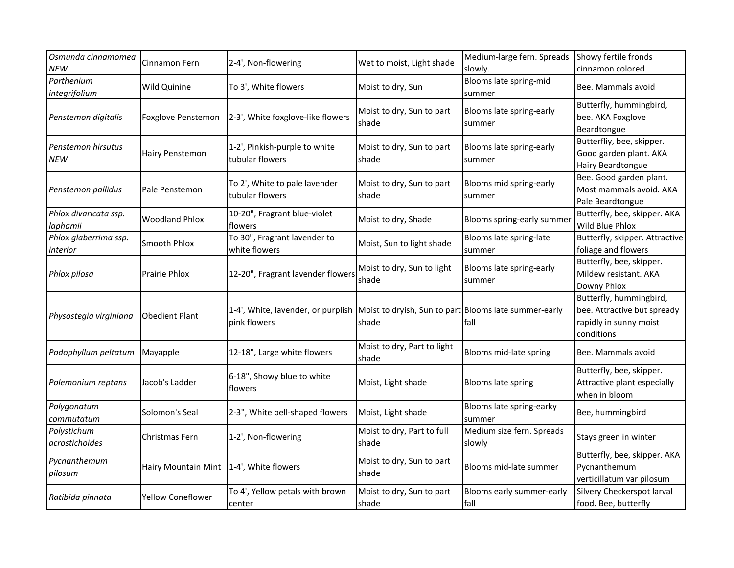| Osmunda cinnamomea          | Cinnamon Fern                             | 2-4', Non-flowering                                                                      | Wet to moist, Light shade   | Medium-large fern. Spreads       | Showy fertile fronds           |
|-----------------------------|-------------------------------------------|------------------------------------------------------------------------------------------|-----------------------------|----------------------------------|--------------------------------|
| NEW                         |                                           |                                                                                          |                             | slowly.                          | cinnamon colored               |
| Parthenium<br>integrifolium | Wild Quinine                              | To 3', White flowers                                                                     | Moist to dry, Sun           | Blooms late spring-mid<br>summer | Bee. Mammals avoid             |
|                             |                                           |                                                                                          |                             |                                  | Butterfly, hummingbird,        |
| Penstemon digitalis         | Foxglove Penstemon                        | 2-3', White foxglove-like flowers                                                        | Moist to dry, Sun to part   | Blooms late spring-early         | bee. AKA Foxglove              |
|                             |                                           |                                                                                          | shade                       | summer                           | Beardtongue                    |
|                             |                                           |                                                                                          |                             |                                  | Butterfliy, bee, skipper.      |
| Penstemon hirsutus          | Hairy Penstemon                           | 1-2', Pinkish-purple to white                                                            | Moist to dry, Sun to part   | Blooms late spring-early         | Good garden plant. AKA         |
| <b>NEW</b>                  |                                           | tubular flowers                                                                          | shade                       | summer                           | Hairy Beardtongue              |
|                             |                                           |                                                                                          |                             |                                  | Bee. Good garden plant.        |
| Penstemon pallidus          | Pale Penstemon                            | To 2', White to pale lavender                                                            | Moist to dry, Sun to part   | Blooms mid spring-early          | Most mammals avoid. AKA        |
|                             |                                           | tubular flowers                                                                          | shade                       | summer                           | Pale Beardtongue               |
| Phlox divaricata ssp.       |                                           | 10-20", Fragrant blue-violet                                                             |                             |                                  | Butterfly, bee, skipper. AKA   |
| laphamii                    | <b>Woodland Phlox</b>                     | flowers                                                                                  | Moist to dry, Shade         | Blooms spring-early summer       | Wild Blue Phlox                |
| Phlox glaberrima ssp.       |                                           | To 30", Fragrant lavender to                                                             |                             | Blooms late spring-late          | Butterfly, skipper. Attractive |
| interior                    | Smooth Phlox                              | white flowers                                                                            | Moist, Sun to light shade   | summer                           | foliage and flowers            |
|                             |                                           |                                                                                          |                             |                                  | Butterfly, bee, skipper.       |
|                             |                                           |                                                                                          | Moist to dry, Sun to light  | Blooms late spring-early         |                                |
| Phlox pilosa                | <b>Prairie Phlox</b>                      | 12-20", Fragrant lavender flowers                                                        | shade                       | summer                           | Mildew resistant. AKA          |
|                             |                                           |                                                                                          |                             |                                  | Downy Phlox                    |
|                             |                                           |                                                                                          |                             |                                  | Butterfly, hummingbird,        |
| Physostegia virginiana      | <b>Obedient Plant</b>                     | 1-4', White, lavender, or purplish Moist to dryish, Sun to part Blooms late summer-early |                             |                                  | bee. Attractive but spready    |
|                             |                                           | pink flowers                                                                             | shade                       | fall                             | rapidly in sunny moist         |
|                             |                                           |                                                                                          |                             |                                  | conditions                     |
| Podophyllum peltatum        | Mayapple                                  | 12-18", Large white flowers                                                              | Moist to dry, Part to light | Blooms mid-late spring           | Bee. Mammals avoid             |
|                             |                                           |                                                                                          | shade                       |                                  |                                |
|                             |                                           | 6-18", Showy blue to white                                                               |                             |                                  | Butterfly, bee, skipper.       |
| Polemonium reptans          | Jacob's Ladder                            | flowers                                                                                  | Moist, Light shade          | Blooms late spring               | Attractive plant especially    |
|                             |                                           |                                                                                          |                             |                                  | when in bloom                  |
| Polygonatum                 |                                           |                                                                                          |                             | Blooms late spring-earky         |                                |
| commutatum                  | Solomon's Seal                            | 2-3", White bell-shaped flowers                                                          | Moist, Light shade          | summer                           | Bee, hummingbird               |
| Polystichum                 |                                           |                                                                                          | Moist to dry, Part to full  | Medium size fern. Spreads        |                                |
| acrostichoides              | Christmas Fern                            | 1-2', Non-flowering                                                                      | shade                       | slowly                           | Stays green in winter          |
|                             |                                           |                                                                                          |                             |                                  | Butterfly, bee, skipper. AKA   |
| Pycnanthemum                | Hairy Mountain Mint   1-4', White flowers |                                                                                          | Moist to dry, Sun to part   | Blooms mid-late summer           | Pycnanthemum                   |
| pilosum                     |                                           |                                                                                          | shade                       |                                  | verticillatum var pilosum      |
|                             |                                           | To 4', Yellow petals with brown                                                          | Moist to dry, Sun to part   | Blooms early summer-early        | Silvery Checkerspot larval     |
| Ratibida pinnata            | Yellow Coneflower                         | center                                                                                   | shade                       | fall                             | food. Bee, butterfly           |
|                             |                                           |                                                                                          |                             |                                  |                                |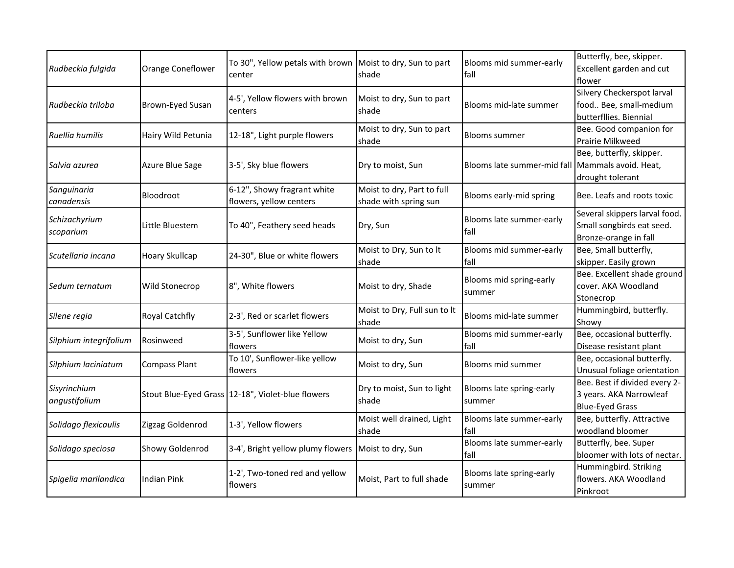| Rudbeckia fulgida             | Orange Coneflower     | To 30", Yellow petals with brown Moist to dry, Sun to part<br>center | shade                                               | Blooms mid summer-early<br>fall                  | Butterfly, bee, skipper.<br>Excellent garden and cut<br>flower                      |
|-------------------------------|-----------------------|----------------------------------------------------------------------|-----------------------------------------------------|--------------------------------------------------|-------------------------------------------------------------------------------------|
| Rudbeckia triloba             | Brown-Eyed Susan      | 4-5', Yellow flowers with brown<br>centers                           | Moist to dry, Sun to part<br>shade                  | Blooms mid-late summer                           | Silvery Checkerspot larval<br>food Bee, small-medium<br>butterfllies. Biennial      |
| Ruellia humilis               | Hairy Wild Petunia    | 12-18", Light purple flowers                                         | Moist to dry, Sun to part<br>shade                  | Blooms summer                                    | Bee. Good companion for<br>Prairie Milkweed                                         |
| Salvia azurea                 | Azure Blue Sage       | 3-5', Sky blue flowers                                               | Dry to moist, Sun                                   | Blooms late summer-mid fall Mammals avoid. Heat, | Bee, butterfly, skipper.<br>drought tolerant                                        |
| Sanguinaria<br>canadensis     | <b>Bloodroot</b>      | 6-12", Showy fragrant white<br>flowers, yellow centers               | Moist to dry, Part to full<br>shade with spring sun | Blooms early-mid spring                          | Bee. Leafs and roots toxic                                                          |
| Schizachyrium<br>scoparium    | Little Bluestem       | To 40", Feathery seed heads                                          | Dry, Sun                                            | Blooms late summer-early<br>fall                 | Several skippers larval food.<br>Small songbirds eat seed.<br>Bronze-orange in fall |
| Scutellaria incana            | <b>Hoary Skullcap</b> | 24-30", Blue or white flowers                                        | Moist to Dry, Sun to It<br>shade                    | Blooms mid summer-early<br>fall                  | Bee, Small butterfly,<br>skipper. Easily grown                                      |
| Sedum ternatum                | Wild Stonecrop        | 8", White flowers                                                    | Moist to dry, Shade                                 | Blooms mid spring-early<br>summer                | Bee. Excellent shade ground<br>cover. AKA Woodland<br>Stonecrop                     |
| Silene regia                  | Royal Catchfly        | 2-3', Red or scarlet flowers                                         | Moist to Dry, Full sun to It<br>shade               | Blooms mid-late summer                           | Hummingbird, butterfly.<br>Showy                                                    |
| Silphium integrifolium        | Rosinweed             | 3-5', Sunflower like Yellow<br>flowers                               | Moist to dry, Sun                                   | Blooms mid summer-early<br>fall                  | Bee, occasional butterfly.<br>Disease resistant plant                               |
| Silphium laciniatum           | Compass Plant         | To 10', Sunflower-like yellow<br>flowers                             | Moist to dry, Sun                                   | Blooms mid summer                                | Bee, occasional butterfly.<br>Unusual foliage orientation                           |
| Sisyrinchium<br>angustifolium |                       | Stout Blue-Eyed Grass 12-18", Violet-blue flowers                    | Dry to moist, Sun to light<br>shade                 | Blooms late spring-early<br>summer               | Bee. Best if divided every 2-<br>3 years. AKA Narrowleaf<br><b>Blue-Eyed Grass</b>  |
| Solidago flexicaulis          | Zigzag Goldenrod      | 1-3', Yellow flowers                                                 | Moist well drained, Light<br>shade                  | Blooms late summer-early<br>fall                 | Bee, butterfly. Attractive<br>woodland bloomer                                      |
| Solidago speciosa             | Showy Goldenrod       | 3-4', Bright yellow plumy flowers   Moist to dry, Sun                |                                                     | Blooms late summer-early<br>fall                 | Butterfly, bee. Super<br>bloomer with lots of nectar.                               |
| Spigelia marilandica          | <b>Indian Pink</b>    | 1-2', Two-toned red and yellow<br>flowers                            | Moist, Part to full shade                           | Blooms late spring-early<br>summer               | Hummingbird. Striking<br>flowers. AKA Woodland<br>Pinkroot                          |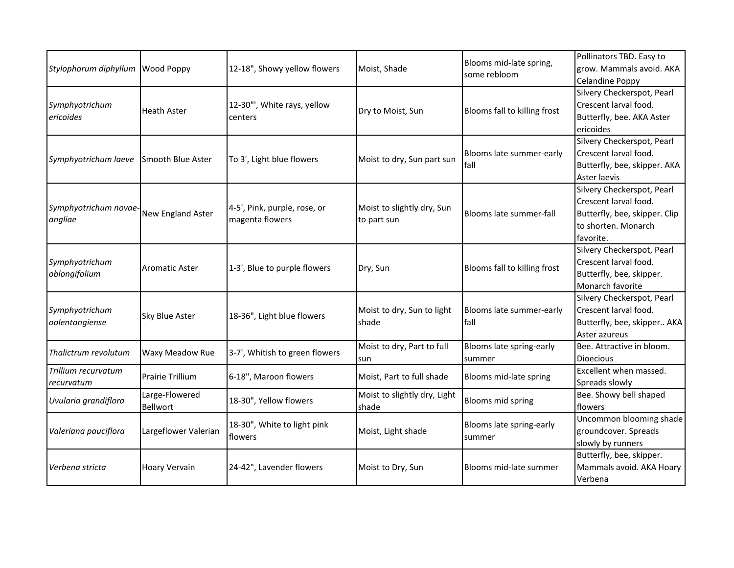| Stylophorum diphyllum Wood Poppy  |                            | 12-18", Showy yellow flowers                    | Moist, Shade                              | Blooms mid-late spring,<br>some rebloom | Pollinators TBD. Easy to<br>grow. Mammals avoid. AKA<br><b>Celandine Poppy</b>                                           |
|-----------------------------------|----------------------------|-------------------------------------------------|-------------------------------------------|-----------------------------------------|--------------------------------------------------------------------------------------------------------------------------|
| Symphyotrichum<br>ericoides       | <b>Heath Aster</b>         | 12-30"', White rays, yellow<br>centers          | Dry to Moist, Sun                         | Blooms fall to killing frost            | Silvery Checkerspot, Pearl<br>Crescent larval food.<br>Butterfly, bee. AKA Aster<br>ericoides                            |
| Symphyotrichum laeve              | <b>ISmooth Blue Aster</b>  | To 3', Light blue flowers                       | Moist to dry, Sun part sun                | Blooms late summer-early<br><b>fall</b> | Silvery Checkerspot, Pearl<br>Crescent larval food.<br>Butterfly, bee, skipper. AKA<br>Aster laevis                      |
| Symphyotrichum novae-<br>angliae  | New England Aster          | 4-5', Pink, purple, rose, or<br>magenta flowers | Moist to slightly dry, Sun<br>to part sun | Blooms late summer-fall                 | Silvery Checkerspot, Pearl<br>Crescent larval food.<br>Butterfly, bee, skipper. Clip<br>to shorten. Monarch<br>favorite. |
| Symphyotrichum<br>oblongifolium   | <b>Aromatic Aster</b>      | 1-3', Blue to purple flowers                    | Dry, Sun                                  | Blooms fall to killing frost            | Silvery Checkerspot, Pearl<br>Crescent larval food.<br>Butterfly, bee, skipper.<br>Monarch favorite                      |
| Symphyotrichum<br>oolentangiense  | Sky Blue Aster             | 18-36", Light blue flowers                      | Moist to dry, Sun to light<br>shade       | Blooms late summer-early<br>fall        | Silvery Checkerspot, Pearl<br>Crescent larval food.<br>Butterfly, bee, skipper AKA<br>Aster azureus                      |
| Thalictrum revolutum              | Waxy Meadow Rue            | 3-7', Whitish to green flowers                  | Moist to dry, Part to full<br>sun         | Blooms late spring-early<br>summer      | Bee. Attractive in bloom.<br>Dioecious                                                                                   |
| Trillium recurvatum<br>recurvatum | <b>Prairie Trillium</b>    | 6-18", Maroon flowers                           | Moist, Part to full shade                 | Blooms mid-late spring                  | Excellent when massed.<br>Spreads slowly                                                                                 |
| Uvularia grandiflora              | Large-Flowered<br>Bellwort | 18-30", Yellow flowers                          | Moist to slightly dry, Light<br>shade     | Blooms mid spring                       | Bee. Showy bell shaped<br>flowers                                                                                        |
| Valeriana pauciflora              | Largeflower Valerian       | 18-30", White to light pink<br>flowers          | Moist, Light shade                        | Blooms late spring-early<br>summer      | Uncommon blooming shade<br>groundcover. Spreads<br>slowly by runners                                                     |
| Verbena stricta                   | <b>Hoary Vervain</b>       | 24-42", Lavender flowers                        | Moist to Dry, Sun                         | Blooms mid-late summer                  | Butterfly, bee, skipper.<br>Mammals avoid. AKA Hoary<br>Verbena                                                          |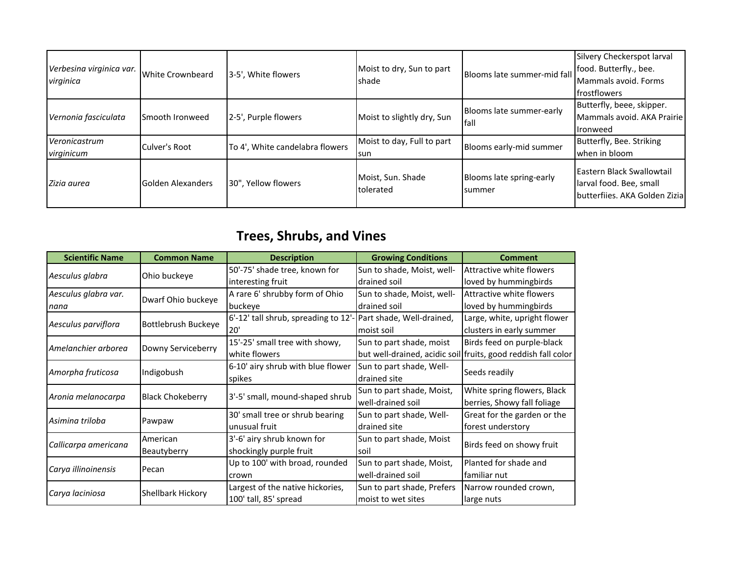| Verbesina virginica var.<br>virginica | White Crownbeard         | 3-5', White flowers             | Moist to dry, Sun to part<br>shade  | Blooms late summer-mid fall         | Silvery Checkerspot larval<br>food. Butterfly., bee.<br>Mammals avoid. Forms<br><b>Ifrostflowers</b> |
|---------------------------------------|--------------------------|---------------------------------|-------------------------------------|-------------------------------------|------------------------------------------------------------------------------------------------------|
| Vernonia fasciculata                  | <b>I</b> Smooth Ironweed | 2-5', Purple flowers            | Moist to slightly dry, Sun          | Blooms late summer-early<br>lfall   | Butterfly, beee, skipper.<br>Mammals avoid. AKA Prairie<br>Ironweed                                  |
| Veronicastrum<br>virginicum           | Culver's Root            | To 4', White candelabra flowers | Moist to day, Full to part<br>lsun. | Blooms early-mid summer             | Butterfly, Bee. Striking<br>when in bloom                                                            |
| Zizia aurea                           | <b>Golden Alexanders</b> | 30", Yellow flowers             | Moist, Sun. Shade<br>tolerated      | Blooms late spring-early<br>Isummer | Eastern Black Swallowtail<br>larval food. Bee, small<br>butterfijes. AKA Golden Zizial               |

## **Trees, Shrubs, and Vines**

| <b>Scientific Name</b> | <b>Common Name</b>       | <b>Description</b>                   | <b>Growing Conditions</b>  | <b>Comment</b>                                                |  |
|------------------------|--------------------------|--------------------------------------|----------------------------|---------------------------------------------------------------|--|
|                        |                          | 50'-75' shade tree, known for        | Sun to shade, Moist, well- | Attractive white flowers                                      |  |
| Aesculus glabra        | Ohio buckeye             | interesting fruit                    | drained soil               | loved by hummingbirds                                         |  |
| Aesculus glabra var.   | Dwarf Ohio buckeye       | A rare 6' shrubby form of Ohio       | Sun to shade, Moist, well- | Attractive white flowers                                      |  |
| nana                   |                          | buckeye                              | drained soil               | loved by hummingbirds                                         |  |
|                        | Bottlebrush Buckeye      | 6'-12' tall shrub, spreading to 12'- | Part shade, Well-drained,  | Large, white, upright flower                                  |  |
| Aesculus parviflora    |                          | 20'                                  | lmoist soil                | clusters in early summer                                      |  |
| Amelanchier arborea    |                          | 15'-25' small tree with showy,       | Sun to part shade, moist   | Birds feed on purple-black                                    |  |
|                        | Downy Serviceberry       | white flowers                        |                            | but well-drained, acidic soil fruits, good reddish fall color |  |
|                        |                          | 6-10' airy shrub with blue flower    | Sun to part shade, Well-   | Seeds readily                                                 |  |
| Amorpha fruticosa      | Indigobush               | drained site<br>spikes               |                            |                                                               |  |
| Aronia melanocarpa     | <b>Black Chokeberry</b>  | 3'-5' small, mound-shaped shrub      | Sun to part shade, Moist,  | White spring flowers, Black                                   |  |
|                        |                          |                                      | well-drained soil          | berries, Showy fall foliage                                   |  |
| Asimina triloba        | Pawpaw                   | 30' small tree or shrub bearing      | Sun to part shade, Well-   | Great for the garden or the                                   |  |
|                        |                          | unusual fruit                        | drained site               | forest understory                                             |  |
| Callicarpa americana   | American                 | 3'-6' airy shrub known for           | Sun to part shade, Moist   | Birds feed on showy fruit                                     |  |
|                        | Beautyberry              | shockingly purple fruit              | lsoil                      |                                                               |  |
| Carya illinoinensis    | Pecan                    | Up to 100' with broad, rounded       | Sun to part shade, Moist,  | Planted for shade and                                         |  |
|                        |                          | crown                                | well-drained soil          | familiar nut                                                  |  |
|                        |                          | Largest of the native hickories,     | Sun to part shade, Prefers | Narrow rounded crown,                                         |  |
| Carya laciniosa        | <b>Shellbark Hickory</b> | 100' tall, 85' spread                | moist to wet sites         | large nuts                                                    |  |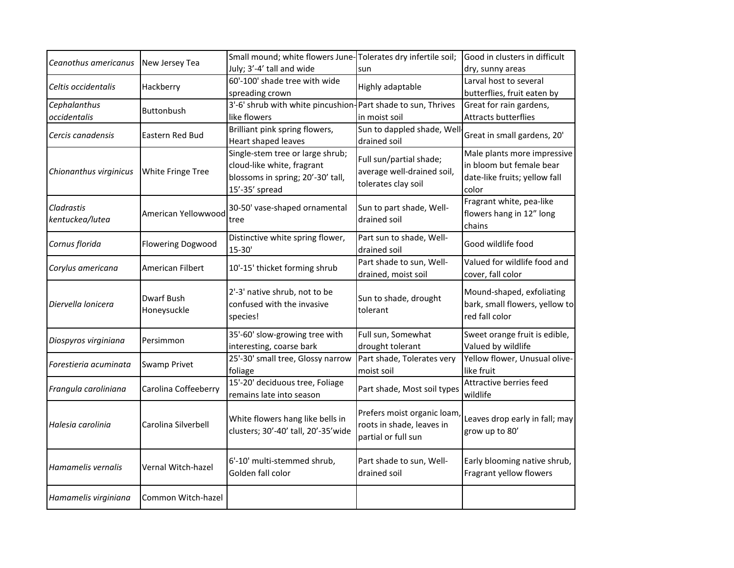| Ceanothus americanus   | New Jersey Tea           | Small mound; white flowers June-Tolerates dry infertile soil; |                             | Good in clusters in difficult  |  |
|------------------------|--------------------------|---------------------------------------------------------------|-----------------------------|--------------------------------|--|
|                        |                          | July; 3'-4' tall and wide                                     | sun                         | dry, sunny areas               |  |
| Celtis occidentalis    | Hackberry                | 60'-100' shade tree with wide                                 | Highly adaptable            | Larval host to several         |  |
|                        |                          | spreading crown                                               |                             | butterflies, fruit eaten by    |  |
| Cephalanthus           | Buttonbush               | 3'-6' shrub with white pincushion-Part shade to sun, Thrives  |                             | Great for rain gardens,        |  |
| occidentalis           |                          | like flowers                                                  | in moist soil               | <b>Attracts butterflies</b>    |  |
| Cercis canadensis      | Eastern Red Bud          | Brilliant pink spring flowers,                                | Sun to dappled shade, Well  | Great in small gardens, 20'    |  |
|                        |                          | Heart shaped leaves                                           | drained soil                |                                |  |
|                        |                          | Single-stem tree or large shrub;                              | Full sun/partial shade;     | Male plants more impressive    |  |
| Chionanthus virginicus | White Fringe Tree        | cloud-like white, fragrant                                    | average well-drained soil,  | in bloom but female bear       |  |
|                        |                          | blossoms in spring; 20'-30' tall,                             | tolerates clay soil         | date-like fruits; yellow fall  |  |
|                        |                          | 15'-35' spread                                                |                             | color                          |  |
| Cladrastis             |                          | 30-50' vase-shaped ornamental                                 | Sun to part shade, Well-    | Fragrant white, pea-like       |  |
| kentuckea/lutea        | American Yellowwood      | tree                                                          | drained soil                | flowers hang in 12" long       |  |
|                        |                          |                                                               |                             | chains                         |  |
| Cornus florida         | <b>Flowering Dogwood</b> | Distinctive white spring flower,                              | Part sun to shade, Well-    | Good wildlife food             |  |
|                        |                          | $15 - 30'$                                                    | drained soil                |                                |  |
| Corylus americana      | American Filbert         | 10'-15' thicket forming shrub                                 | Part shade to sun, Well-    | Valued for wildlife food and   |  |
|                        |                          |                                                               | drained, moist soil         | cover, fall color              |  |
|                        |                          | 2'-3' native shrub, not to be                                 |                             | Mound-shaped, exfoliating      |  |
| Diervella lonicera     | Dwarf Bush               | confused with the invasive                                    | Sun to shade, drought       | bark, small flowers, yellow to |  |
|                        | Honeysuckle              | species!                                                      | tolerant                    | red fall color                 |  |
|                        |                          |                                                               |                             |                                |  |
| Diospyros virginiana   | Persimmon                | 35'-60' slow-growing tree with                                | Full sun, Somewhat          | Sweet orange fruit is edible,  |  |
|                        |                          | interesting, coarse bark                                      | drought tolerant            | Valued by wildlife             |  |
| Forestieria acuminata  | Swamp Privet             | 25'-30' small tree, Glossy narrow                             | Part shade, Tolerates very  | Yellow flower, Unusual olive-  |  |
|                        |                          | foliage                                                       | moist soil                  | like fruit                     |  |
| Frangula caroliniana   | Carolina Coffeeberry     | 15'-20' deciduous tree, Foliage                               | Part shade, Most soil types | Attractive berries feed        |  |
|                        |                          | remains late into season                                      |                             | wildlife                       |  |
|                        |                          |                                                               | Prefers moist organic loam, |                                |  |
| Halesia carolinia      | Carolina Silverbell      | White flowers hang like bells in                              | roots in shade, leaves in   | Leaves drop early in fall; may |  |
|                        |                          | clusters; 30'-40' tall, 20'-35' wide                          | partial or full sun         | grow up to 80'                 |  |
|                        |                          |                                                               |                             |                                |  |
|                        |                          | 6'-10' multi-stemmed shrub,                                   | Part shade to sun, Well-    | Early blooming native shrub,   |  |
| Hamamelis vernalis     | Vernal Witch-hazel       | Golden fall color                                             | drained soil                | Fragrant yellow flowers        |  |
|                        |                          |                                                               |                             |                                |  |
| Hamamelis virginiana   | Common Witch-hazel       |                                                               |                             |                                |  |
|                        |                          |                                                               |                             |                                |  |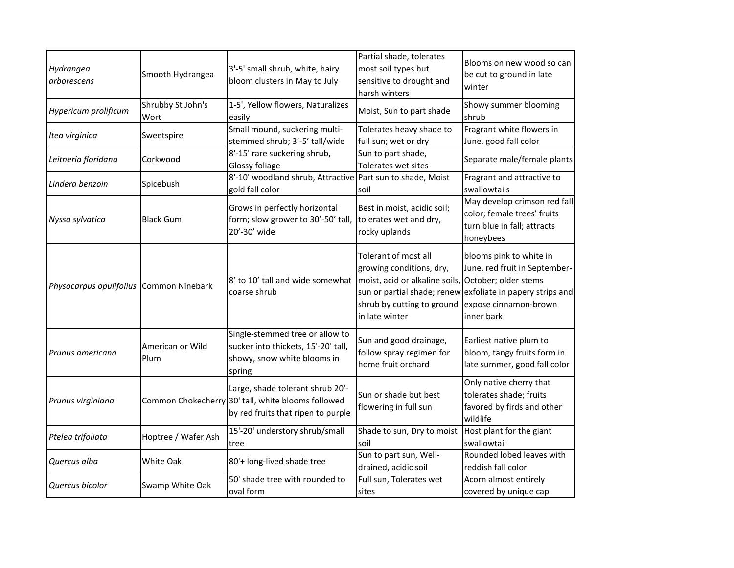| Hydrangea<br>arborescens                | Smooth Hydrangea          | 3'-5' small shrub, white, hairy<br>bloom clusters in May to July                                                             | Partial shade, tolerates<br>most soil types but<br>sensitive to drought and<br>harsh winters                                                            | Blooms on new wood so can<br>be cut to ground in late<br>winter                                                                                               |
|-----------------------------------------|---------------------------|------------------------------------------------------------------------------------------------------------------------------|---------------------------------------------------------------------------------------------------------------------------------------------------------|---------------------------------------------------------------------------------------------------------------------------------------------------------------|
| Hypericum prolificum                    | Shrubby St John's<br>Wort | 1-5', Yellow flowers, Naturalizes<br>easily                                                                                  | Moist, Sun to part shade                                                                                                                                | Showy summer blooming<br>shrub                                                                                                                                |
| Itea virginica                          | Sweetspire                | Small mound, suckering multi-<br>stemmed shrub; 3'-5' tall/wide                                                              | Tolerates heavy shade to<br>full sun; wet or dry                                                                                                        | Fragrant white flowers in<br>June, good fall color                                                                                                            |
| Leitneria floridana                     | Corkwood                  | 8'-15' rare suckering shrub,<br>Glossy foliage                                                                               | Sun to part shade,<br>Tolerates wet sites                                                                                                               | Separate male/female plants                                                                                                                                   |
| Lindera benzoin                         | Spicebush                 | 8'-10' woodland shrub, Attractive Part sun to shade, Moist<br>gold fall color                                                | soil                                                                                                                                                    | Fragrant and attractive to<br>swallowtails                                                                                                                    |
| Nyssa sylvatica                         | <b>Black Gum</b>          | Grows in perfectly horizontal<br>form; slow grower to 30'-50' tall,<br>20'-30' wide                                          | Best in moist, acidic soil;<br>tolerates wet and dry,<br>rocky uplands                                                                                  | May develop crimson red fall<br>color; female trees' fruits<br>turn blue in fall; attracts<br>honeybees                                                       |
| Physocarpus opulifolius Common Ninebark |                           | 8' to 10' tall and wide somewhat<br>coarse shrub                                                                             | Tolerant of most all<br>growing conditions, dry,<br>moist, acid or alkaline soils, October; older stems<br>shrub by cutting to ground<br>in late winter | blooms pink to white in<br>June, red fruit in September-<br>sun or partial shade; renew exfoliate in papery strips and<br>expose cinnamon-brown<br>inner bark |
| Prunus americana                        | American or Wild<br>Plum  | Single-stemmed tree or allow to<br>sucker into thickets, 15'-20' tall,<br>showy, snow white blooms in<br>spring              | Sun and good drainage,<br>follow spray regimen for<br>home fruit orchard                                                                                | Earliest native plum to<br>bloom, tangy fruits form in<br>late summer, good fall color                                                                        |
| Prunus virginiana                       |                           | Large, shade tolerant shrub 20'-<br>Common Chokecherry 30' tall, white blooms followed<br>by red fruits that ripen to purple | Sun or shade but best<br>flowering in full sun                                                                                                          | Only native cherry that<br>tolerates shade; fruits<br>favored by firds and other<br>wildlife                                                                  |
| Ptelea trifoliata                       | Hoptree / Wafer Ash       | 15'-20' understory shrub/small<br>tree                                                                                       | Shade to sun, Dry to moist<br>soil                                                                                                                      | Host plant for the giant<br>swallowtail                                                                                                                       |
| Quercus alba                            | White Oak                 | 80'+ long-lived shade tree                                                                                                   | Sun to part sun, Well-<br>drained, acidic soil                                                                                                          | Rounded lobed leaves with<br>reddish fall color                                                                                                               |
| Quercus bicolor                         | Swamp White Oak           | 50' shade tree with rounded to<br>oval form                                                                                  | Full sun, Tolerates wet<br>sites                                                                                                                        | Acorn almost entirely<br>covered by unique cap                                                                                                                |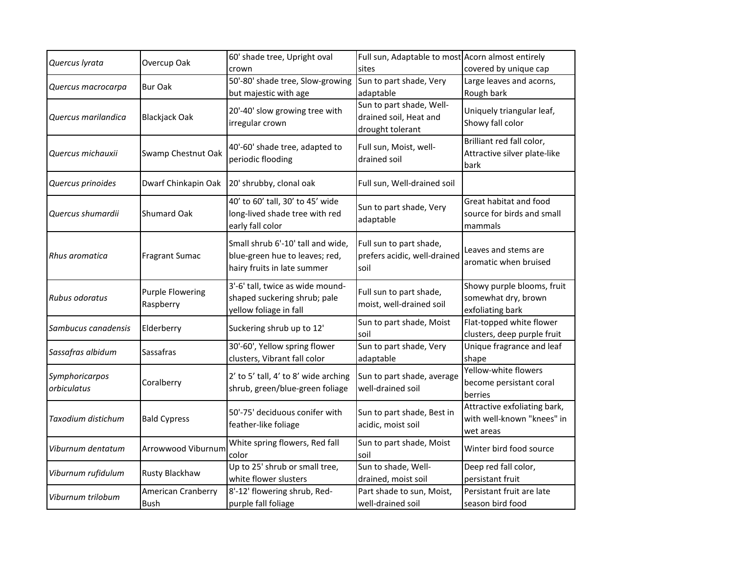| Quercus lyrata                | Overcup Oak                          | 60' shade tree, Upright oval                                                               | Full sun, Adaptable to most Acorn almost entirely                      |                                      |
|-------------------------------|--------------------------------------|--------------------------------------------------------------------------------------------|------------------------------------------------------------------------|--------------------------------------|
|                               |                                      | crown                                                                                      | sites                                                                  | covered by unique cap                |
| Quercus macrocarpa            | <b>Bur Oak</b>                       | 50'-80' shade tree, Slow-growing                                                           | Sun to part shade, Very                                                | Large leaves and acorns,             |
|                               |                                      | but majestic with age                                                                      | adaptable                                                              | Rough bark                           |
| Quercus marilandica           | Blackjack Oak                        | 20'-40' slow growing tree with<br>irregular crown                                          | Sun to part shade, Well-<br>drained soil, Heat and<br>drought tolerant | Uniquely triangular leaf,            |
|                               |                                      |                                                                                            |                                                                        | Showy fall color                     |
| Quercus michauxii             | Swamp Chestnut Oak                   | 40'-60' shade tree, adapted to<br>periodic flooding                                        | Full sun, Moist, well-<br>drained soil                                 | Brilliant red fall color,            |
|                               |                                      |                                                                                            |                                                                        | Attractive silver plate-like<br>bark |
| Quercus prinoides             | Dwarf Chinkapin Oak                  | 20' shrubby, clonal oak                                                                    | Full sun, Well-drained soil                                            |                                      |
| Quercus shumardii             | Shumard Oak                          | 40' to 60' tall, 30' to 45' wide                                                           | Sun to part shade, Very<br>adaptable                                   | Great habitat and food               |
|                               |                                      | long-lived shade tree with red                                                             |                                                                        | source for birds and small           |
|                               |                                      | early fall color                                                                           |                                                                        | mammals                              |
| Rhus aromatica                | <b>Fragrant Sumac</b>                | Small shrub 6'-10' tall and wide,                                                          | Full sun to part shade,<br>prefers acidic, well-drained<br>soil        |                                      |
|                               |                                      | blue-green hue to leaves; red,                                                             |                                                                        | Leaves and stems are                 |
|                               |                                      | hairy fruits in late summer                                                                |                                                                        | aromatic when bruised                |
| Rubus odoratus                | <b>Purple Flowering</b><br>Raspberry | 3'-6' tall, twice as wide mound-<br>shaped suckering shrub; pale<br>yellow foliage in fall | Full sun to part shade,<br>moist, well-drained soil                    | Showy purple blooms, fruit           |
|                               |                                      |                                                                                            |                                                                        | somewhat dry, brown                  |
|                               |                                      |                                                                                            |                                                                        | exfoliating bark                     |
| Sambucus canadensis           | Elderberry                           | Suckering shrub up to 12'                                                                  | Sun to part shade, Moist<br>soil                                       | Flat-topped white flower             |
|                               |                                      |                                                                                            |                                                                        | clusters, deep purple fruit          |
| Sassafras albidum             | Sassafras                            | 30'-60', Yellow spring flower                                                              | Sun to part shade, Very                                                | Unique fragrance and leaf            |
|                               |                                      | clusters, Vibrant fall color                                                               | adaptable                                                              | shape                                |
| Symphoricarpos<br>orbiculatus | Coralberry                           | 2' to 5' tall, 4' to 8' wide arching<br>shrub, green/blue-green foliage                    | Sun to part shade, average<br>well-drained soil                        | Yellow-white flowers                 |
|                               |                                      |                                                                                            |                                                                        | become persistant coral              |
|                               |                                      |                                                                                            |                                                                        | berries                              |
| Taxodium distichum            | <b>Bald Cypress</b>                  | 50'-75' deciduous conifer with                                                             | Sun to part shade, Best in<br>acidic, moist soil                       | Attractive exfoliating bark,         |
|                               |                                      | feather-like foliage                                                                       |                                                                        | with well-known "knees" in           |
|                               |                                      |                                                                                            |                                                                        | wet areas                            |
| Viburnum dentatum             | Arrowwood Viburnum                   | White spring flowers, Red fall<br>color                                                    | Sun to part shade, Moist<br>soil                                       | Winter bird food source              |
| Viburnum rufidulum            | Rusty Blackhaw                       | Up to 25' shrub or small tree,                                                             | Sun to shade, Well-                                                    | Deep red fall color,                 |
|                               |                                      | white flower slusters                                                                      | drained, moist soil                                                    | persistant fruit                     |
| Viburnum trilobum             | American Cranberry                   | 8'-12' flowering shrub, Red-                                                               | Part shade to sun, Moist,                                              | Persistant fruit are late            |
|                               | Bush                                 | purple fall foliage                                                                        | well-drained soil                                                      | season bird food                     |